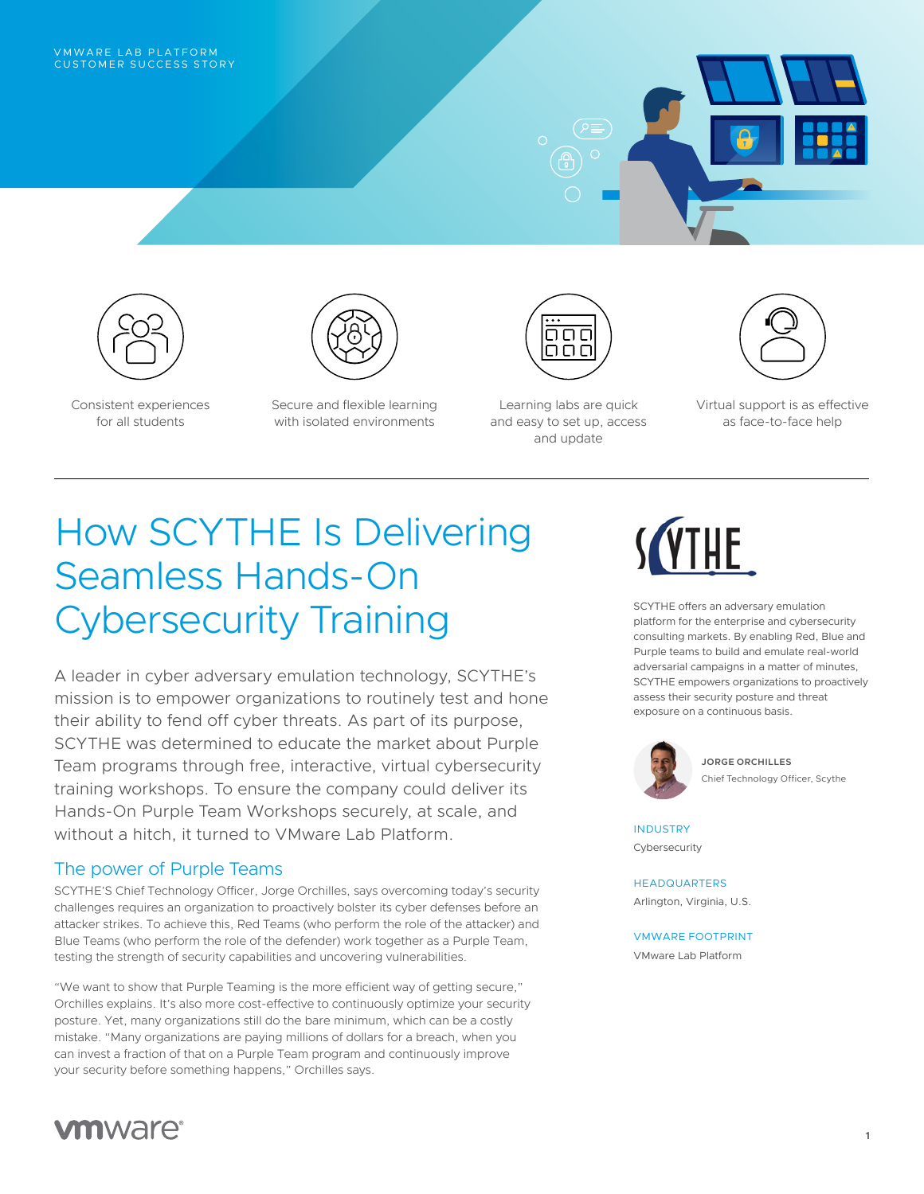



for all students

Consistent experiences



Secure and flexible learning with isolated environments



Learning labs are quick and easy to set up, access and update



Virtual support is as effective as face-to-face help

# How SCYTHE Is Delivering Seamless Hands-On Cybersecurity Training

A leader in cyber adversary emulation technology, SCYTHE's mission is to empower organizations to routinely test and hone their ability to fend off cyber threats. As part of its purpose, SCYTHE was determined to educate the market about Purple Team programs through free, interactive, virtual cybersecurity training workshops. To ensure the company could deliver its Hands-On Purple Team Workshops securely, at scale, and without a hitch, it turned to VMware Lab Platform.

## The power of Purple Teams

SCYTHE'S Chief Technology Officer, Jorge Orchilles, says overcoming today's security challenges requires an organization to proactively bolster its cyber defenses before an attacker strikes. To achieve this, Red Teams (who perform the role of the attacker) and Blue Teams (who perform the role of the defender) work together as a Purple Team, testing the strength of security capabilities and uncovering vulnerabilities.

"We want to show that Purple Teaming is the more efficient way of getting secure," Orchilles explains. It's also more cost-effective to continuously optimize your security posture. Yet, many organizations still do the bare minimum, which can be a costly mistake. "Many organizations are paying millions of dollars for a breach, when you can invest a fraction of that on a Purple Team program and continuously improve your security before something happens," Orchilles says.



SCYTHE offers an adversary emulation platform for the enterprise and cybersecurity consulting markets. By enabling Red, Blue and Purple teams to build and emulate real-world adversarial campaigns in a matter of minutes, SCYTHE empowers organizations to proactively assess their security posture and threat exposure on a continuous basis.



**JORGE ORCHILLES** Chief Technology Officer, Scythe

INDUSTRY Cybersecurity

#### HEADQUARTERS

Arlington, Virginia, U.S.

VMWARE FOOTPRINT VMware Lab Platform